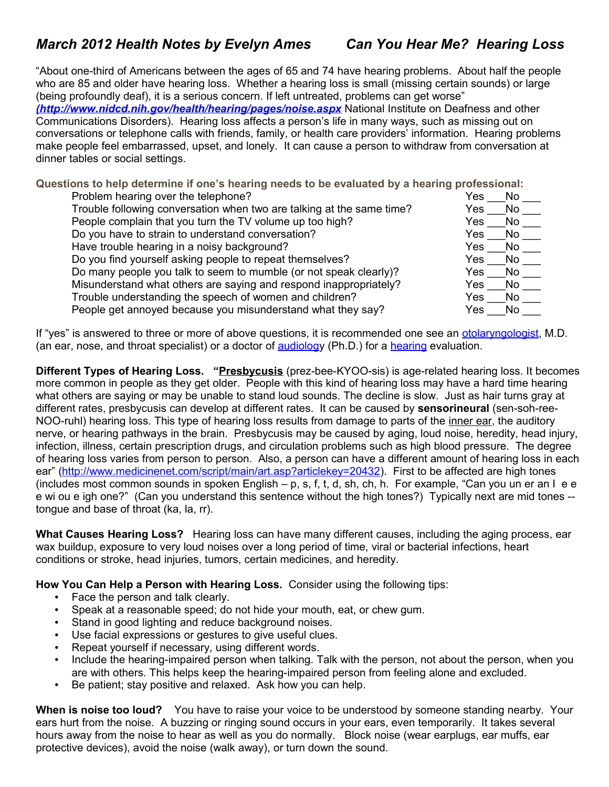"About one-third of Americans between the ages of 65 and 74 have hearing problems. About half the people who are 85 and older have hearing loss. Whether a hearing loss is small (missing certain sounds) or large (being profoundly deaf), it is a serious concern. If left untreated, problems can get worse" *[\(http://www.nidcd.nih.gov/health/hearing/pages/noise.aspx](file:///C:/Documents and Settings/eames/My Documents/wwura assoc/health notes articles/
(http://www.nidcd.nih.gov/health/hearing/pages/noise.aspx)* National Institute on Deafness and other Communications Disorders). Hearing loss affects a person's life in many ways, such as missing out on conversations or telephone calls with friends, family, or health care providers' information. Hearing problems make people feel embarrassed, upset, and lonely. It can cause a person to withdraw from conversation at dinner tables or social settings.

**Questions to help determine if one's hearing needs to be evaluated by a hearing professional:** 

| Problem hearing over the telephone?                                   | Yes<br>No   |
|-----------------------------------------------------------------------|-------------|
| Trouble following conversation when two are talking at the same time? | No.<br>Yes  |
| People complain that you turn the TV volume up too high?              | No<br>Yes   |
| Do you have to strain to understand conversation?                     | No<br>Yes.  |
| Have trouble hearing in a noisy background?                           | Yes<br>No.  |
| Do you find yourself asking people to repeat themselves?              | No.<br>Yes. |
| Do many people you talk to seem to mumble (or not speak clearly)?     | No<br>Yes.  |
| Misunderstand what others are saying and respond inappropriately?     | No.<br>Yes  |
| Trouble understanding the speech of women and children?               | No.<br>Yes. |
| People get annoyed because you misunderstand what they say?           | No.<br>Yes  |

If "yes" is answered to three or more of above questions, it is recommended one see an [otolaryngologist,](javascript:openglossarywindow() M.D. (an ear, nose, and throat specialist) or a doctor of [audiology](javascript:openglossarywindow() (Ph.D.) for a [hearing](javascript:openglossarywindow() evaluation.

**Different Types of Hearing Loss. ["Presbycusis](http://www.medicinenet.com/script/main/art.asp?articlekey=24916)** (prez-bee-KYOO-sis) is age-related hearing loss. It becomes more common in people as they get older. People with this kind of hearing loss may have a hard time hearing what others are saying or may be unable to stand loud sounds. The decline is slow. Just as hair turns gray at different rates, presbycusis can develop at different rates. It can be caused by **sensorineural** (sen-soh-reeNOO-ruhl) hearing loss. This type of hearing loss results from damage to parts of the [inner ear,](http://www.medicinenet.com/script/main/art.asp?articlekey=7210) the auditory nerve, or hearing pathways in the brain. Presbycusis may be caused by aging, loud noise, heredity, head injury, infection, illness, certain prescription drugs, and circulation problems such as high blood pressure. The degree of hearing loss varies from person to person. Also, a person can have a different amount of hearing loss in each ear" [\(http://www.medicinenet.com/script/main/art.asp?articlekey=20432\)](http://www.medicinenet.com/script/main/art.asp?articlekey=20432).First to be affected are high tones (includes most common sounds in spoken English – p, s, f, t, d, sh, ch, h. For example, "Can you un er an I e e e wi ou e igh one?" (Can you understand this sentence without the high tones?) Typically next are mid tones - tongue and base of throat (ka, la, rr).

**What Causes Hearing Loss?** Hearing loss can have many different causes, including the aging process, ear wax buildup, exposure to very loud noises over a long period of time, [viral](http://www.medicinenet.com/script/main/art.asp?articlekey=15037) or [bacterial](http://www.medicinenet.com/script/main/art.asp?articlekey=15038) infections, heart conditions or stroke, head injuries, tumors, certain medicines, and [heredity.](http://www.medicinenet.com/script/main/art.asp?articlekey=3725)

**How You Can Help a Person with Hearing Loss.** Consider using the following tips:

- Face the person and talk clearly.
- Speak at a reasonable speed; do not hide your mouth, eat, or chew gum.
- Stand in good lighting and reduce background noises.
- Use facial expressions or gestures to give useful clues.
- Repeat yourself if necessary, using different words.
- Include the hearing-impaired person when talking. Talk with the person, not about the person, when you are with others. This helps keep the hearing-impaired person from feeling alone and excluded.
- Be patient; stay positive and relaxed. Ask how you can help.

**When is noise too loud?** You have to raise your voice to be understood by someone standing nearby. Your ears hurt from the noise. A buzzing or ringing sound occurs in your ears, even temporarily. It takes several hours away from the noise to hear as well as you do normally. Block noise (wear earplugs, ear muffs, ear protective devices), avoid the noise (walk away), or turn down the sound.